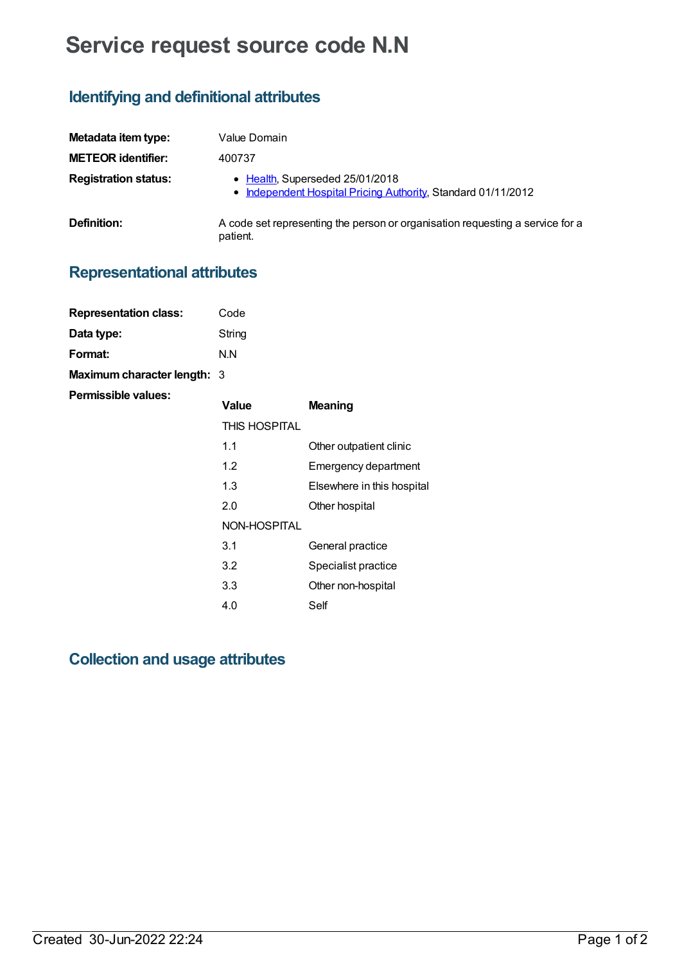# **Service request source code N.N**

# **Identifying and definitional attributes**

| Metadata item type:         | Value Domain                                                                                     |  |
|-----------------------------|--------------------------------------------------------------------------------------------------|--|
| <b>METEOR identifier:</b>   | 400737                                                                                           |  |
| <b>Registration status:</b> | • Health, Superseded 25/01/2018<br>• Independent Hospital Pricing Authority, Standard 01/11/2012 |  |
| Definition:                 | A code set representing the person or organisation requesting a service for a<br>patient.        |  |

# **Representational attributes**

| <b>Representation class:</b> | Code                 |                            |
|------------------------------|----------------------|----------------------------|
| Data type:                   | String               |                            |
| <b>Format:</b>               | N.N                  |                            |
| Maximum character length: 3  |                      |                            |
| Permissible values:          | Value                | <b>Meaning</b>             |
|                              | <b>THIS HOSPITAL</b> |                            |
|                              | 1.1                  | Other outpatient clinic    |
|                              | 1.2                  | Emergency department       |
|                              | 1.3                  | Elsewhere in this hospital |
|                              | 2.0                  | Other hospital             |
|                              | NON-HOSPITAL         |                            |
|                              | 3.1                  | General practice           |
|                              | 3.2                  | Specialist practice        |
|                              | 3.3                  | Other non-hospital         |
|                              | 4.0                  | Self                       |

### **Collection and usage attributes**